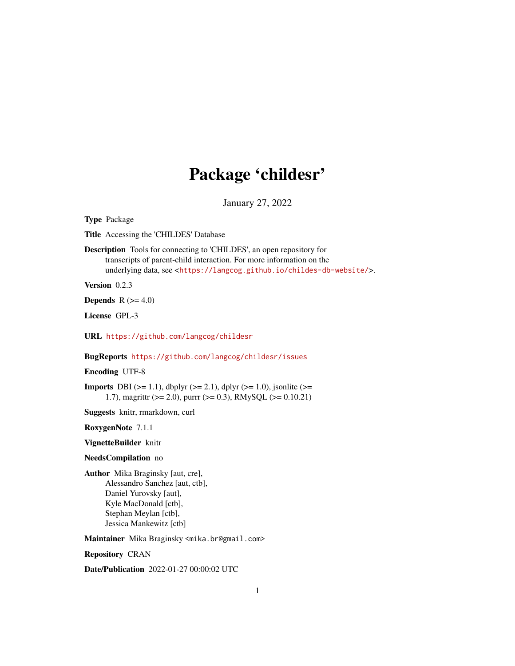# Package 'childesr'

January 27, 2022

Type Package

Title Accessing the 'CHILDES' Database

Description Tools for connecting to 'CHILDES', an open repository for transcripts of parent-child interaction. For more information on the underlying data, see <<https://langcog.github.io/childes-db-website/>>.

Version 0.2.3

**Depends**  $R$  ( $>= 4.0$ )

License GPL-3

URL <https://github.com/langcog/childesr>

BugReports <https://github.com/langcog/childesr/issues>

Encoding UTF-8

**Imports** DBI ( $>= 1.1$ ), dbplyr ( $>= 2.1$ ), dplyr ( $>= 1.0$ ), jsonlite ( $>= 1.0$ ) 1.7), magrittr (>= 2.0), purrr (>= 0.3), RMySQL (>= 0.10.21)

Suggests knitr, rmarkdown, curl

RoxygenNote 7.1.1

VignetteBuilder knitr

NeedsCompilation no

Author Mika Braginsky [aut, cre], Alessandro Sanchez [aut, ctb], Daniel Yurovsky [aut], Kyle MacDonald [ctb], Stephan Meylan [ctb], Jessica Mankewitz [ctb]

Maintainer Mika Braginsky <mika.br@gmail.com>

Repository CRAN

Date/Publication 2022-01-27 00:00:02 UTC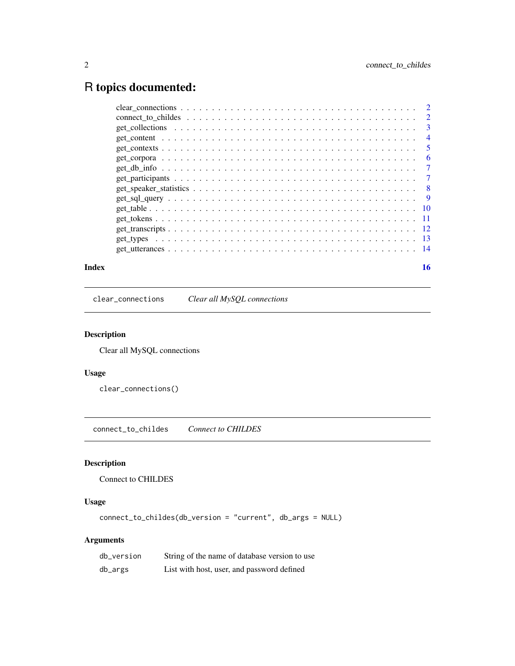## <span id="page-1-0"></span>R topics documented:

| Index |  |    |
|-------|--|----|
|       |  |    |
|       |  |    |
|       |  |    |
|       |  |    |
|       |  |    |
|       |  |    |
|       |  |    |
|       |  |    |
|       |  |    |
|       |  |    |
|       |  |    |
|       |  |    |
|       |  |    |
|       |  |    |
|       |  | 16 |

clear\_connections *Clear all MySQL connections*

#### Description

Clear all MySQL connections

#### Usage

clear\_connections()

connect\_to\_childes *Connect to CHILDES*

#### Description

Connect to CHILDES

#### Usage

connect\_to\_childes(db\_version = "current", db\_args = NULL)

| db_version | String of the name of database version to use |
|------------|-----------------------------------------------|
| db_args    | List with host, user, and password defined    |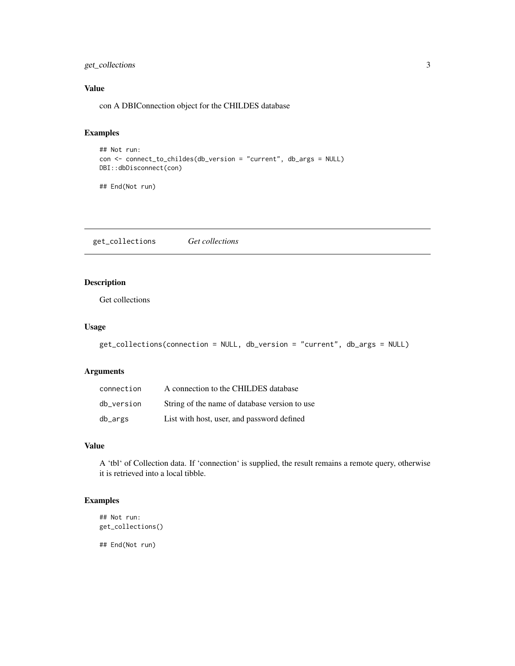#### <span id="page-2-0"></span>get\_collections 3

#### Value

con A DBIConnection object for the CHILDES database

#### Examples

```
## Not run:
con <- connect_to_childes(db_version = "current", db_args = NULL)
DBI::dbDisconnect(con)
```
## End(Not run)

get\_collections *Get collections*

#### Description

Get collections

#### Usage

```
get_collections(connection = NULL, db_version = "current", db_args = NULL)
```
#### Arguments

| connection | A connection to the CHILDES database          |
|------------|-----------------------------------------------|
| db version | String of the name of database version to use |
| db_args    | List with host, user, and password defined    |

#### Value

A 'tbl' of Collection data. If 'connection' is supplied, the result remains a remote query, otherwise it is retrieved into a local tibble.

#### Examples

```
## Not run:
get_collections()
```
## End(Not run)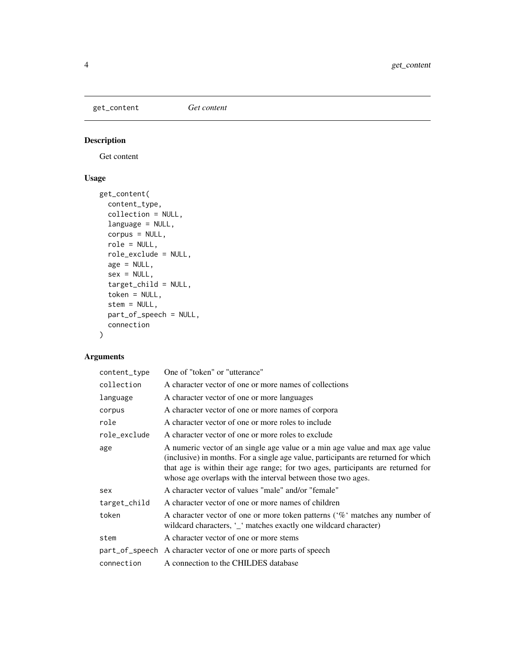<span id="page-3-0"></span>get\_content *Get content*

#### Description

Get content

#### Usage

```
get_content(
  content_type,
 collection = NULL,
  language = NULL,
 corpus = NULL,
  role = NULL,
  role_exclude = NULL,
  age = NULL,sex = NULL,target_child = NULL,
  token = NULL,
  stem = NULL,
 part_of_speech = NULL,
 connection
\mathcal{L}
```

| content_type | One of "token" or "utterance"                                                                                                                                                                                                                                                                                         |
|--------------|-----------------------------------------------------------------------------------------------------------------------------------------------------------------------------------------------------------------------------------------------------------------------------------------------------------------------|
| collection   | A character vector of one or more names of collections                                                                                                                                                                                                                                                                |
| language     | A character vector of one or more languages                                                                                                                                                                                                                                                                           |
| corpus       | A character vector of one or more names of corpora                                                                                                                                                                                                                                                                    |
| role         | A character vector of one or more roles to include                                                                                                                                                                                                                                                                    |
| role_exclude | A character vector of one or more roles to exclude                                                                                                                                                                                                                                                                    |
| age          | A numeric vector of an single age value or a min age value and max age value<br>(inclusive) in months. For a single age value, participants are returned for which<br>that age is within their age range; for two ages, participants are returned for<br>whose age overlaps with the interval between those two ages. |
| sex          | A character vector of values "male" and/or "female"                                                                                                                                                                                                                                                                   |
| target_child | A character vector of one or more names of children                                                                                                                                                                                                                                                                   |
| token        | A character vector of one or more token patterns ('%' matches any number of<br>wildcard characters, '_' matches exactly one wildcard character)                                                                                                                                                                       |
| stem         | A character vector of one or more stems                                                                                                                                                                                                                                                                               |
|              | part_of_speech A character vector of one or more parts of speech                                                                                                                                                                                                                                                      |
| connection   | A connection to the CHILDES database                                                                                                                                                                                                                                                                                  |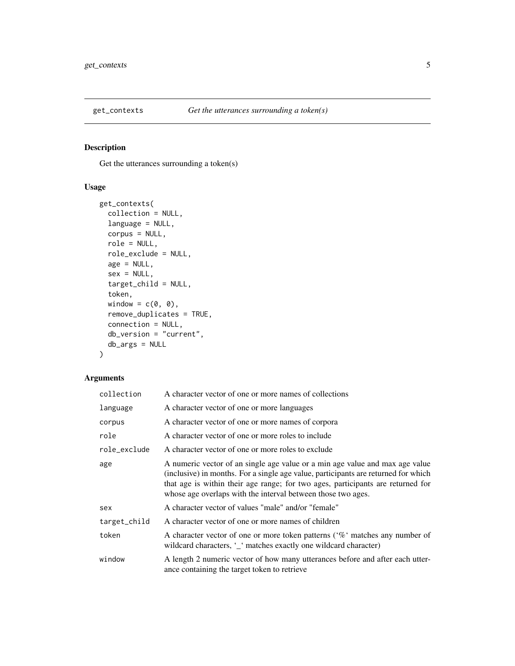<span id="page-4-0"></span>

#### Description

Get the utterances surrounding a token(s)

#### Usage

```
get_contexts(
  collection = NULL,
  language = NULL,
  corpus = NULL,
  role = NULL,
  role_exclude = NULL,
  age = NULL,sex = NULL,target_child = NULL,
  token,
  window = c(\emptyset, \emptyset),
  remove_duplicates = TRUE,
  connection = NULL,
  db_version = "current",
  db_args = NULL
\mathcal{L}
```

| collection   | A character vector of one or more names of collections                                                                                                                                                                                                                                                                |
|--------------|-----------------------------------------------------------------------------------------------------------------------------------------------------------------------------------------------------------------------------------------------------------------------------------------------------------------------|
| language     | A character vector of one or more languages                                                                                                                                                                                                                                                                           |
| corpus       | A character vector of one or more names of corpora                                                                                                                                                                                                                                                                    |
| role         | A character vector of one or more roles to include                                                                                                                                                                                                                                                                    |
| role_exclude | A character vector of one or more roles to exclude                                                                                                                                                                                                                                                                    |
| age          | A numeric vector of an single age value or a min age value and max age value<br>(inclusive) in months. For a single age value, participants are returned for which<br>that age is within their age range; for two ages, participants are returned for<br>whose age overlaps with the interval between those two ages. |
| sex          | A character vector of values "male" and/or "female"                                                                                                                                                                                                                                                                   |
| target_child | A character vector of one or more names of children                                                                                                                                                                                                                                                                   |
| token        | A character vector of one or more token patterns ( $\%$ matches any number of<br>wildcard characters, '_' matches exactly one wildcard character)                                                                                                                                                                     |
| window       | A length 2 numeric vector of how many utterances before and after each utter-<br>ance containing the target token to retrieve                                                                                                                                                                                         |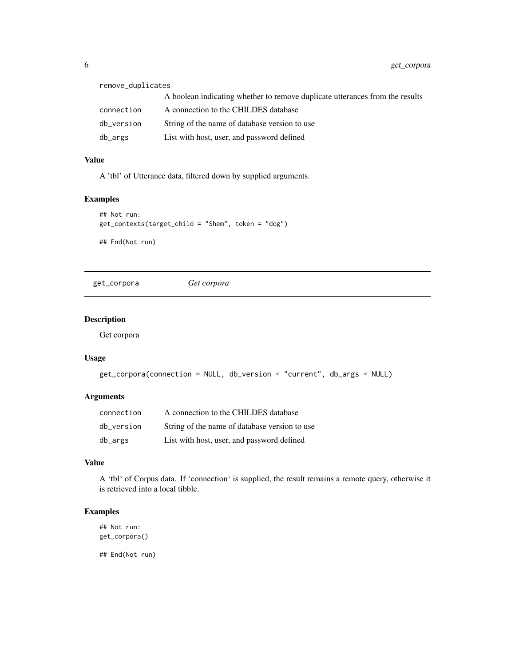<span id="page-5-0"></span>

| remove_duplicates |                                                                              |  |
|-------------------|------------------------------------------------------------------------------|--|
|                   | A boolean indicating whether to remove duplicate utterances from the results |  |
| connection        | A connection to the CHILDES database                                         |  |
| db_version        | String of the name of database version to use                                |  |
| db_args           | List with host, user, and password defined                                   |  |

#### Value

A 'tbl' of Utterance data, filtered down by supplied arguments.

#### Examples

```
## Not run:
get_contexts(target_child = "Shem", token = "dog")
## End(Not run)
```
get\_corpora *Get corpora*

#### Description

Get corpora

#### Usage

```
get_corpora(connection = NULL, db_version = "current", db_args = NULL)
```
#### Arguments

| connection | A connection to the CHILDES database          |
|------------|-----------------------------------------------|
| db version | String of the name of database version to use |
| db_args    | List with host, user, and password defined    |

#### Value

A 'tbl' of Corpus data. If 'connection' is supplied, the result remains a remote query, otherwise it is retrieved into a local tibble.

#### Examples

## Not run: get\_corpora()

## End(Not run)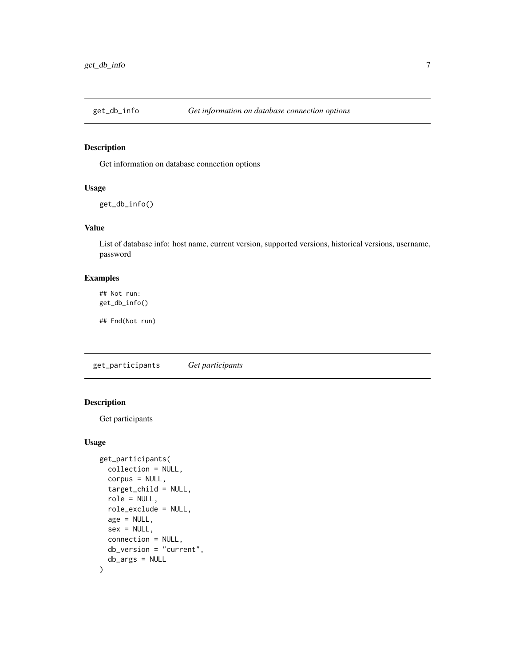<span id="page-6-0"></span>

#### Description

Get information on database connection options

#### Usage

get\_db\_info()

#### Value

List of database info: host name, current version, supported versions, historical versions, username, password

#### Examples

## Not run: get\_db\_info()

## End(Not run)

get\_participants *Get participants*

#### Description

Get participants

#### Usage

```
get_participants(
  collection = NULL,
  corpus = NULL,
  target_child = NULL,
  role = NULL,
  role_exclude = NULL,
  age = NULL,sex = NULL,connection = NULL,
  db_version = "current",
  db_args = NULL
)
```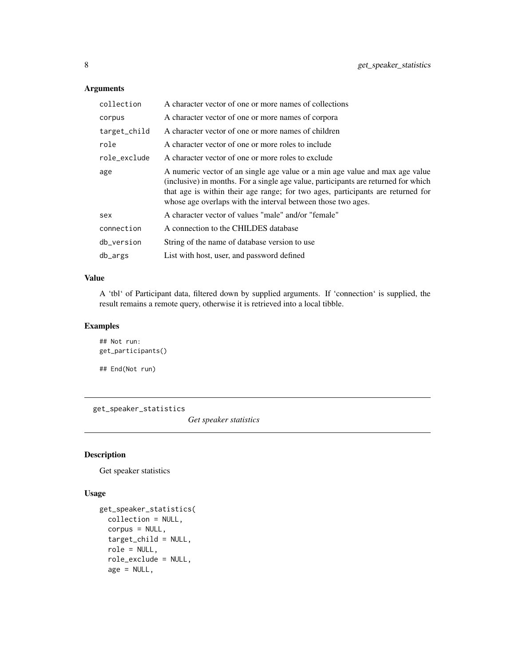#### Arguments

| collection   | A character vector of one or more names of collections                                                                                                                                                                                                                                                                |
|--------------|-----------------------------------------------------------------------------------------------------------------------------------------------------------------------------------------------------------------------------------------------------------------------------------------------------------------------|
| corpus       | A character vector of one or more names of corpora                                                                                                                                                                                                                                                                    |
| target_child | A character vector of one or more names of children                                                                                                                                                                                                                                                                   |
| role         | A character vector of one or more roles to include                                                                                                                                                                                                                                                                    |
| role_exclude | A character vector of one or more roles to exclude                                                                                                                                                                                                                                                                    |
| age          | A numeric vector of an single age value or a min age value and max age value<br>(inclusive) in months. For a single age value, participants are returned for which<br>that age is within their age range; for two ages, participants are returned for<br>whose age overlaps with the interval between those two ages. |
| sex          | A character vector of values "male" and/or "female"                                                                                                                                                                                                                                                                   |
| connection   | A connection to the CHILDES database                                                                                                                                                                                                                                                                                  |
| db_version   | String of the name of database version to use                                                                                                                                                                                                                                                                         |
| db_args      | List with host, user, and password defined                                                                                                                                                                                                                                                                            |

#### Value

A 'tbl' of Participant data, filtered down by supplied arguments. If 'connection' is supplied, the result remains a remote query, otherwise it is retrieved into a local tibble.

#### Examples

```
## Not run:
get_participants()
## End(Not run)
```
get\_speaker\_statistics

*Get speaker statistics*

#### Description

Get speaker statistics

#### Usage

```
get_speaker_statistics(
  collection = NULL,
  corpus = NULL,
  target_child = NULL,
  role = NULL,
  role_exclude = NULL,
  age = NULL,
```
<span id="page-7-0"></span>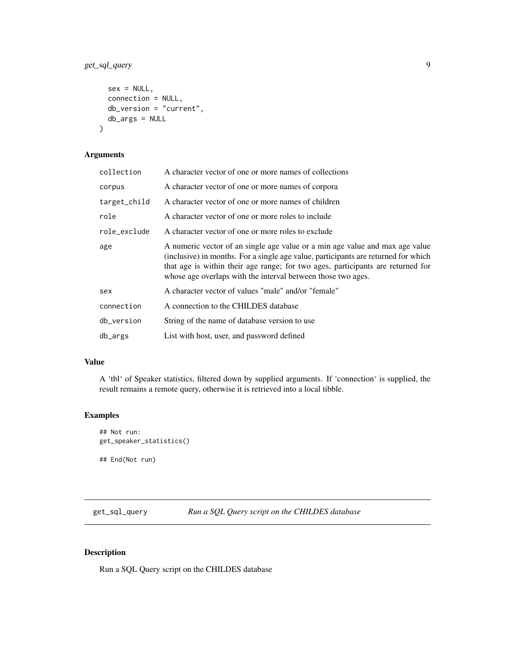```
sex = NULL,connection = NULL,
 db_version = "current",
 db_args = NULL
)
```
#### Arguments

| collection   | A character vector of one or more names of collections                                                                                                                                                                                                                                                                |
|--------------|-----------------------------------------------------------------------------------------------------------------------------------------------------------------------------------------------------------------------------------------------------------------------------------------------------------------------|
| corpus       | A character vector of one or more names of corpora                                                                                                                                                                                                                                                                    |
| target_child | A character vector of one or more names of children                                                                                                                                                                                                                                                                   |
| role         | A character vector of one or more roles to include                                                                                                                                                                                                                                                                    |
| role_exclude | A character vector of one or more roles to exclude                                                                                                                                                                                                                                                                    |
| age          | A numeric vector of an single age value or a min age value and max age value<br>(inclusive) in months. For a single age value, participants are returned for which<br>that age is within their age range; for two ages, participants are returned for<br>whose age overlaps with the interval between those two ages. |
| sex          | A character vector of values "male" and/or "female"                                                                                                                                                                                                                                                                   |
| connection   | A connection to the CHILDES database                                                                                                                                                                                                                                                                                  |
| db_version   | String of the name of database version to use                                                                                                                                                                                                                                                                         |
| db_args      | List with host, user, and password defined                                                                                                                                                                                                                                                                            |

#### Value

A 'tbl' of Speaker statistics, filtered down by supplied arguments. If 'connection' is supplied, the result remains a remote query, otherwise it is retrieved into a local tibble.

#### Examples

```
## Not run:
get_speaker_statistics()
## End(Not run)
```
get\_sql\_query *Run a SQL Query script on the CHILDES database*

#### Description

Run a SQL Query script on the CHILDES database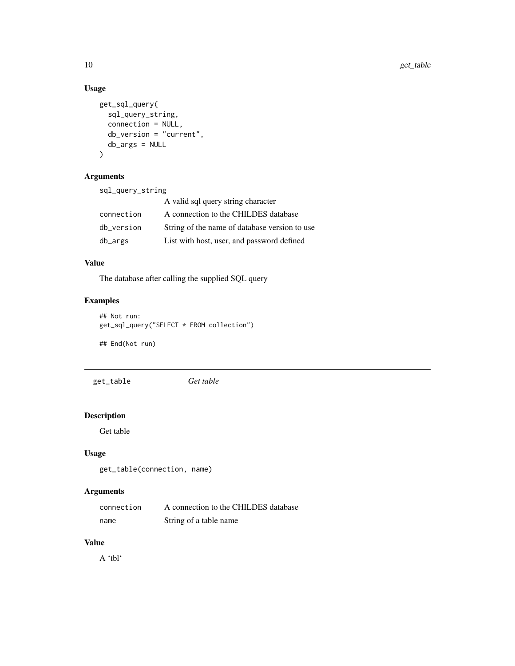#### Usage

```
get_sql_query(
  sql_query_string,
  connection = NULL,
  db_version = "current",
  db_args = NULL
\mathcal{L}
```
#### Arguments

sql\_query\_string

|            | A valid sql query string character            |
|------------|-----------------------------------------------|
| connection | A connection to the CHILDES database          |
| db_version | String of the name of database version to use |
| db_args    | List with host, user, and password defined    |

#### Value

The database after calling the supplied SQL query

#### Examples

```
## Not run:
get_sql_query("SELECT * FROM collection")
```
## End(Not run)

get\_table *Get table*

#### Description

Get table

#### Usage

get\_table(connection, name)

### Arguments

| connection | A connection to the CHILDES database |
|------------|--------------------------------------|
| name       | String of a table name               |

#### Value

A 'tbl'

<span id="page-9-0"></span>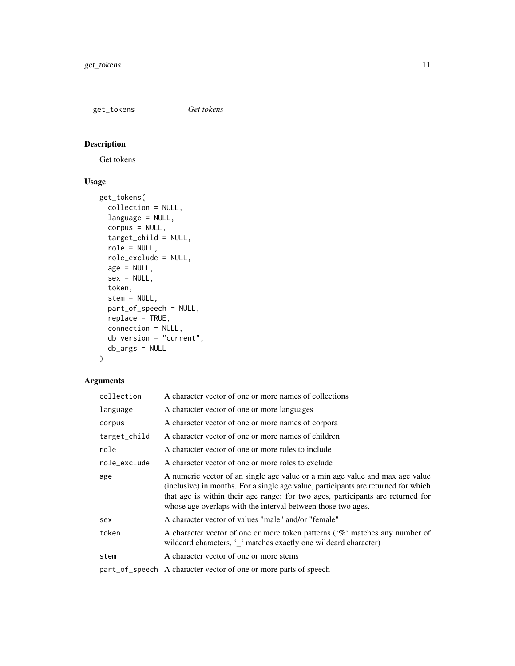<span id="page-10-0"></span>get\_tokens *Get tokens*

### Description

Get tokens

#### Usage

```
get_tokens(
  collection = NULL,
  language = NULL,
  corpus = NULL,
  target_child = NULL,
  role = NULL,
  role_exclude = NULL,
  age = NULL,sex = NULL,token,
  stem = NULL,
 part_of_speech = NULL,
  replace = TRUE,
  connection = NULL,
 db_version = "current",
  db_args = NULL
)
```

| collection   | A character vector of one or more names of collections                                                                                                                                                                                                                                                                |
|--------------|-----------------------------------------------------------------------------------------------------------------------------------------------------------------------------------------------------------------------------------------------------------------------------------------------------------------------|
| language     | A character vector of one or more languages                                                                                                                                                                                                                                                                           |
| corpus       | A character vector of one or more names of corpora                                                                                                                                                                                                                                                                    |
| target_child | A character vector of one or more names of children                                                                                                                                                                                                                                                                   |
| role         | A character vector of one or more roles to include                                                                                                                                                                                                                                                                    |
| role_exclude | A character vector of one or more roles to exclude                                                                                                                                                                                                                                                                    |
| age          | A numeric vector of an single age value or a min age value and max age value<br>(inclusive) in months. For a single age value, participants are returned for which<br>that age is within their age range; for two ages, participants are returned for<br>whose age overlaps with the interval between those two ages. |
| sex          | A character vector of values "male" and/or "female"                                                                                                                                                                                                                                                                   |
| token        | A character vector of one or more token patterns ( $\%$ matches any number of<br>wildcard characters, '_' matches exactly one wildcard character)                                                                                                                                                                     |
| stem         | A character vector of one or more stems                                                                                                                                                                                                                                                                               |
|              | part_of_speech A character vector of one or more parts of speech                                                                                                                                                                                                                                                      |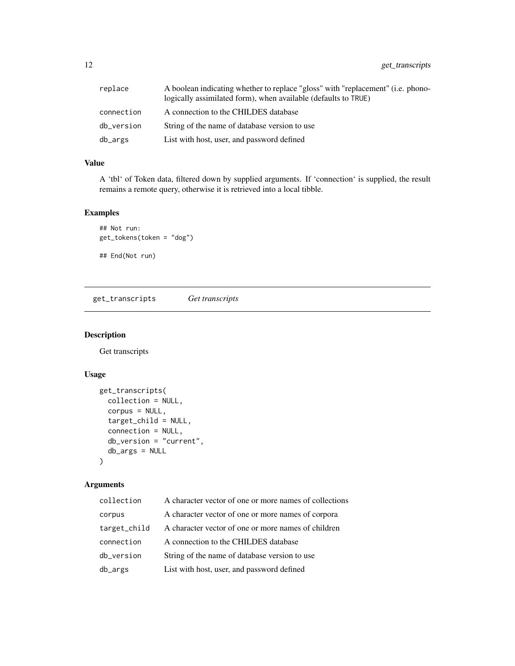<span id="page-11-0"></span>12 get\_transcripts

| replace    | A boolean indicating whether to replace "gloss" with "replacement" ( <i>i.e.</i> phono-<br>logically assimilated form), when available (defaults to TRUE) |
|------------|-----------------------------------------------------------------------------------------------------------------------------------------------------------|
| connection | A connection to the CHILDES database                                                                                                                      |
| db version | String of the name of database version to use                                                                                                             |
| db_args    | List with host, user, and password defined                                                                                                                |

#### Value

A 'tbl' of Token data, filtered down by supplied arguments. If 'connection' is supplied, the result remains a remote query, otherwise it is retrieved into a local tibble.

#### Examples

```
## Not run:
get_tokens(token = "dog")
## End(Not run)
```
get\_transcripts *Get transcripts*

#### Description

Get transcripts

#### Usage

```
get_transcripts(
 collection = NULL,
  corpus = NULL,
  target_child = NULL,
  connection = NULL,
  db_version = "current",
 db_args = NULL
\mathcal{L}
```

| collection   | A character vector of one or more names of collections |
|--------------|--------------------------------------------------------|
| corpus       | A character vector of one or more names of corpora     |
| target_child | A character vector of one or more names of children    |
| connection   | A connection to the CHILDES database                   |
| db_version   | String of the name of database version to use          |
| db_args      | List with host, user, and password defined             |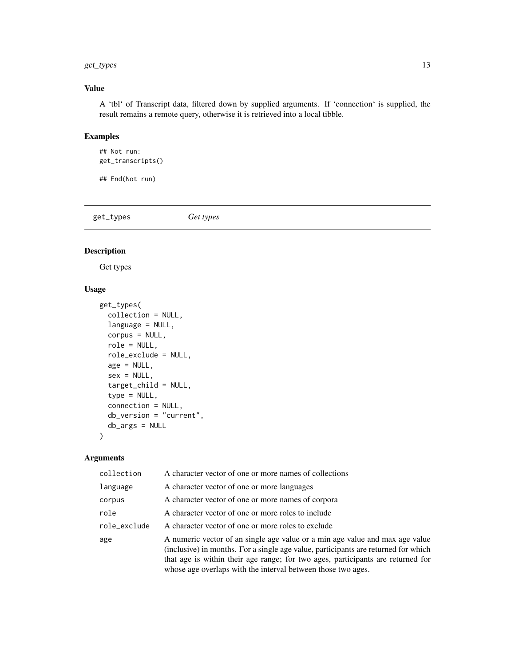#### <span id="page-12-0"></span>get\_types 13

#### Value

A 'tbl' of Transcript data, filtered down by supplied arguments. If 'connection' is supplied, the result remains a remote query, otherwise it is retrieved into a local tibble.

#### Examples

## Not run: get\_transcripts()

## End(Not run)

get\_types *Get types*

#### Description

Get types

#### Usage

```
get_types(
  collection = NULL,
  language = NULL,
  corpus = NULL,
  role = NULL,
  role_exclude = NULL,
  age = NULL,sex = NULL,target_child = NULL,
  type = NULL,
  connection = NULL,
  db_version = "current",
  db_args = NULL
)
```

| collection   | A character vector of one or more names of collections                                                                                                                                                                                                                                                                |
|--------------|-----------------------------------------------------------------------------------------------------------------------------------------------------------------------------------------------------------------------------------------------------------------------------------------------------------------------|
| language     | A character vector of one or more languages                                                                                                                                                                                                                                                                           |
| corpus       | A character vector of one or more names of corpora                                                                                                                                                                                                                                                                    |
| role         | A character vector of one or more roles to include                                                                                                                                                                                                                                                                    |
| role_exclude | A character vector of one or more roles to exclude                                                                                                                                                                                                                                                                    |
| age          | A numeric vector of an single age value or a min age value and max age value<br>(inclusive) in months. For a single age value, participants are returned for which<br>that age is within their age range; for two ages, participants are returned for<br>whose age overlaps with the interval between those two ages. |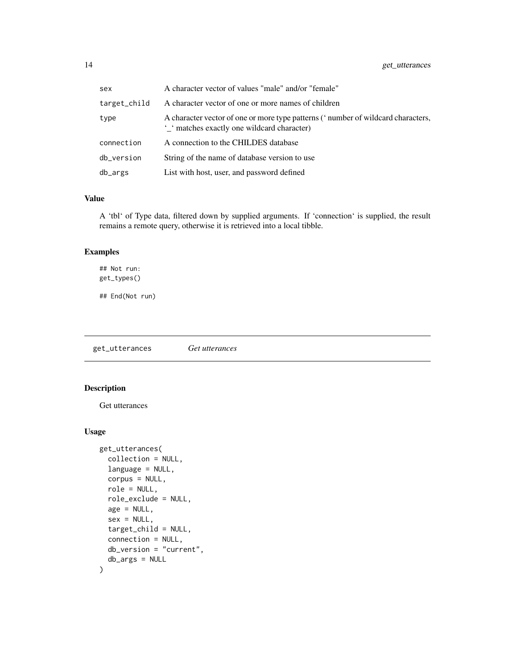<span id="page-13-0"></span>

| sex          | A character vector of values "male" and/or "female"                                                                           |
|--------------|-------------------------------------------------------------------------------------------------------------------------------|
| target_child | A character vector of one or more names of children                                                                           |
| type         | A character vector of one or more type patterns ('number of wildcard characters,<br>' matches exactly one wildcard character) |
| connection   | A connection to the CHILDES database                                                                                          |
| db_version   | String of the name of database version to use                                                                                 |
| db_args      | List with host, user, and password defined                                                                                    |

#### Value

A 'tbl' of Type data, filtered down by supplied arguments. If 'connection' is supplied, the result remains a remote query, otherwise it is retrieved into a local tibble.

#### Examples

## Not run: get\_types()

## End(Not run)

get\_utterances *Get utterances*

### Description

Get utterances

#### Usage

```
get_utterances(
  collection = NULL,
  language = NULL,
  corpus = NULL,
  role = NULL,
  role_exclude = NULL,
  age = NULL,sex = NULL,target_child = NULL,
  connection = NULL,
  db_version = "current",
  db_args = NULL
\mathcal{L}
```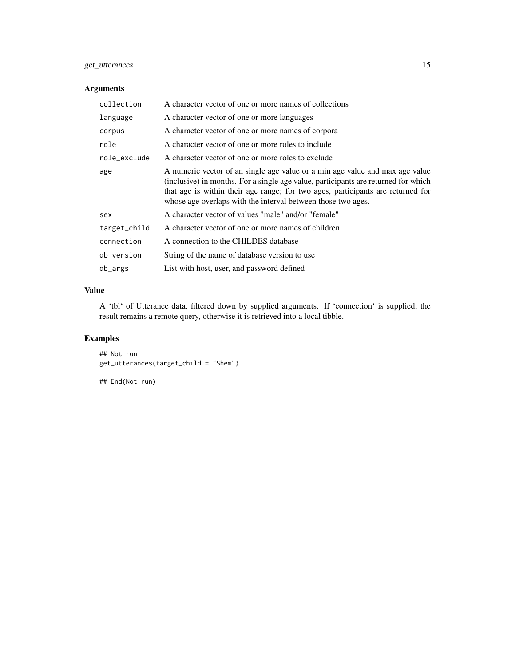#### get\_utterances 15

#### Arguments

| collection   | A character vector of one or more names of collections                                                                                                                                                                                                                                                                |
|--------------|-----------------------------------------------------------------------------------------------------------------------------------------------------------------------------------------------------------------------------------------------------------------------------------------------------------------------|
| language     | A character vector of one or more languages                                                                                                                                                                                                                                                                           |
| corpus       | A character vector of one or more names of corpora                                                                                                                                                                                                                                                                    |
| role         | A character vector of one or more roles to include                                                                                                                                                                                                                                                                    |
| role_exclude | A character vector of one or more roles to exclude                                                                                                                                                                                                                                                                    |
| age          | A numeric vector of an single age value or a min age value and max age value<br>(inclusive) in months. For a single age value, participants are returned for which<br>that age is within their age range; for two ages, participants are returned for<br>whose age overlaps with the interval between those two ages. |
| sex          | A character vector of values "male" and/or "female"                                                                                                                                                                                                                                                                   |
| target_child | A character vector of one or more names of children                                                                                                                                                                                                                                                                   |
| connection   | A connection to the CHILDES database                                                                                                                                                                                                                                                                                  |
| db_version   | String of the name of database version to use                                                                                                                                                                                                                                                                         |
| db_args      | List with host, user, and password defined                                                                                                                                                                                                                                                                            |
|              |                                                                                                                                                                                                                                                                                                                       |

#### Value

A 'tbl' of Utterance data, filtered down by supplied arguments. If 'connection' is supplied, the result remains a remote query, otherwise it is retrieved into a local tibble.

#### Examples

## Not run: get\_utterances(target\_child = "Shem")

## End(Not run)